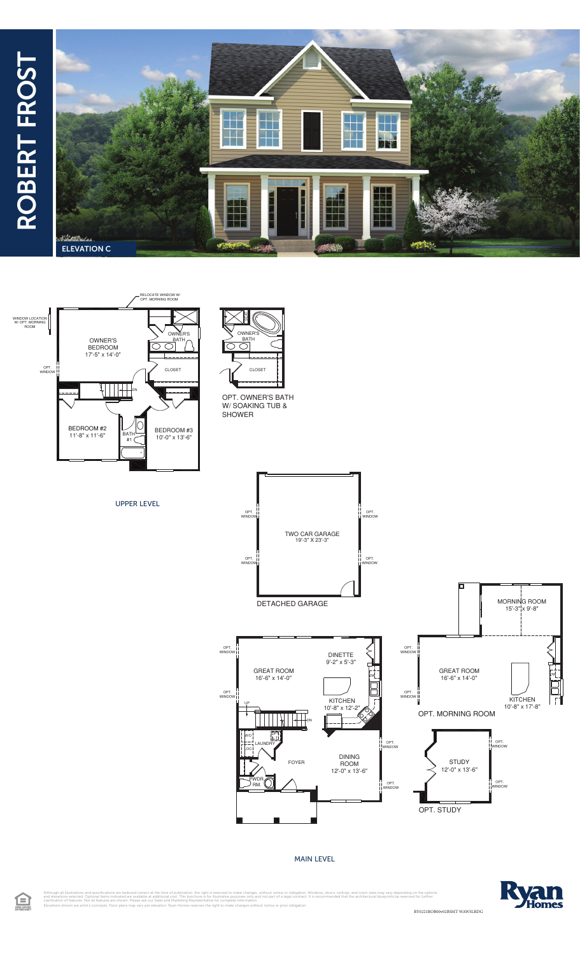## ROBERT FROST ROBERT FROST





UPPER LEVEL



OPT. OWNER'S BATH W/SOAKING TUB & SHOWER



MAIN LEVEL



Although all illustrations and specifications are believed correct at the time of publication, the right is reserved to make changes, without notice or obligation. Windows, doors, ceilings, and room sizes may vary dependin RY0221ROB00v02BSMT WAWSLRDG